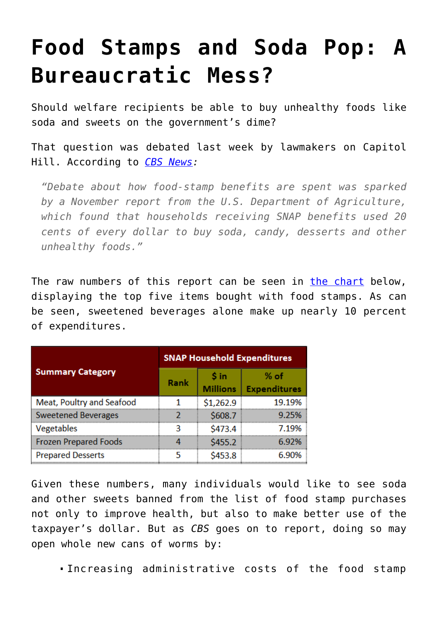## **[Food Stamps and Soda Pop: A](https://intellectualtakeout.org/2017/02/food-stamps-and-soda-pop-a-bureaucratic-mess/) [Bureaucratic Mess?](https://intellectualtakeout.org/2017/02/food-stamps-and-soda-pop-a-bureaucratic-mess/)**

Should welfare recipients be able to buy unhealthy foods like soda and sweets on the government's dime?

That question was debated last week by lawmakers on Capitol Hill. According to *[CBS News:](http://www.cbsnews.com/news/food-stamps-and-sweets-should-they-be-kept-apart/)*

*"Debate about how food-stamp benefits are spent was sparked by a November report from the U.S. Department of Agriculture, which found that households receiving SNAP benefits used 20 cents of every dollar to buy soda, candy, desserts and other unhealthy foods."* 

The raw numbers of this report can be seen in [the chart](https://www.fns.usda.gov/sites/default/files/ops/SNAPFoodsTypicallyPurchased.pdf) below, displaying the top five items bought with food stamps. As can be seen, sweetened beverages alone make up nearly 10 percent of expenditures.

| <b>Summary Category</b>      | <b>SNAP Household Expenditures</b> |                         |                             |
|------------------------------|------------------------------------|-------------------------|-----------------------------|
|                              | Rank                               | S in<br><b>Millions</b> | % of<br><b>Expenditures</b> |
| Meat, Poultry and Seafood    |                                    | \$1,262.9               | 19.19%                      |
| <b>Sweetened Beverages</b>   |                                    | \$608.7                 | 9.25%                       |
| Vegetables                   |                                    | \$473.4                 | 7 1 9%                      |
| <b>Frozen Prepared Foods</b> |                                    | \$455.2                 | 6.92%                       |
| <b>Prepared Desserts</b>     |                                    | \$453.8                 | 6.90%                       |

Given these numbers, many individuals would like to see soda and other sweets banned from the list of food stamp purchases not only to improve health, but also to make better use of the taxpayer's dollar. But as *CBS* goes on to report, doing so may open whole new cans of worms by:

Increasing administrative costs of the food stamp